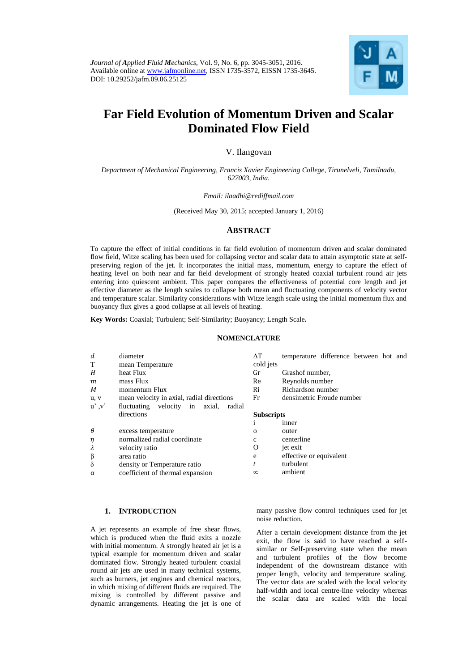

# **Far Field Evolution of Momentum Driven and Scalar Dominated Flow Field**

# V. Ilangovan

# *Department of Mechanical Engineering, Francis Xavier Engineering College, Tirunelveli, Tamilnadu, 627003, India.*

#### *Email: ilaadhi@rediffmail.com*

#### (Received May 30, 2015; accepted January 1, 2016)

# **ABSTRACT**

To capture the effect of initial conditions in far field evolution of momentum driven and scalar dominated flow field, Witze scaling has been used for collapsing vector and scalar data to attain asymptotic state at selfpreserving region of the jet. It incorporates the initial mass, momentum, energy to capture the effect of heating level on both near and far field development of strongly heated coaxial turbulent round air jets entering into quiescent ambient. This paper compares the effectiveness of potential core length and jet effective diameter as the length scales to collapse both mean and fluctuating components of velocity vector and temperature scalar. Similarity considerations with Witze length scale using the initial momentum flux and buoyancy flux gives a good collapse at all levels of heating.

**Key Words:** Coaxial; Turbulent; Self-Similarity; Buoyancy; Length Scale**.**

# **NOMENCLATURE**

| d        | diameter                                  | ΛT                | temperature difference between hot and |
|----------|-------------------------------------------|-------------------|----------------------------------------|
| T        | mean Temperature                          | cold jets         |                                        |
| H        | heat Flux                                 | Gr                | Grashof number,                        |
| m        | mass Flux                                 | Re                | Reynolds number                        |
| M        | momentum Flux                             | Ri                | Richardson number                      |
| u, v     | mean velocity in axial, radial directions | Fr                | densimetric Froude number              |
| u', v'   | fluctuating velocity in axial,<br>radial  |                   |                                        |
|          | directions                                | <b>Subscripts</b> |                                        |
|          |                                           |                   | <i>inner</i>                           |
| $\theta$ | excess temperature                        | $\Omega$          | outer                                  |
| $\eta$   | normalized radial coordinate              | c                 | centerline                             |
| λ        | velocity ratio                            | O                 | jet exit                               |
| $\beta$  | area ratio                                | e                 | effective or equivalent                |
| $\delta$ | density or Temperature ratio              | t                 | turbulent                              |
| $\alpha$ | coefficient of thermal expansion          | $\infty$          | ambient                                |

# **1. INTRODUCTION**

A jet represents an example of free shear flows, which is produced when the fluid exits a nozzle with initial momentum. A strongly heated air jet is a typical example for momentum driven and scalar dominated flow. Strongly heated turbulent coaxial round air jets are used in many technical systems, such as burners, jet engines and chemical reactors, in which mixing of different fluids are required. The mixing is controlled by different passive and dynamic arrangements. Heating the jet is one of many passive flow control techniques used for jet noise reduction.

After a certain development distance from the jet exit, the flow is said to have reached a selfsimilar or Self-preserving state when the mean and turbulent profiles of the flow become independent of the downstream distance with proper length, velocity and temperature scaling. The vector data are scaled with the local velocity half-width and local centre-line velocity whereas the scalar data are scaled with the local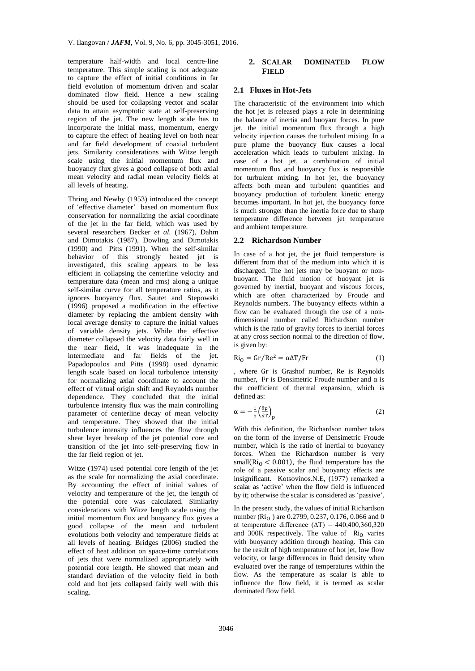temperature half-width and local centre-line temperature. This simple scaling is not adequate to capture the effect of initial conditions in far field evolution of momentum driven and scalar dominated flow field. Hence a new scaling should be used for collapsing vector and scalar data to attain asymptotic state at self-preserving region of the jet. The new length scale has to incorporate the initial mass, momentum, energy to capture the effect of heating level on both near and far field development of coaxial turbulent jets. Similarity considerations with Witze length scale using the initial momentum flux and buoyancy flux gives a good collapse of both axial mean velocity and radial mean velocity fields at all levels of heating.

Thring and Newby (1953) introduced the concept of 'effective diameter' based on momentum flux conservation for normalizing the axial coordinate of the jet in the far field, which was used by several researchers Becker *et al.* (1967), Dahm and Dimotakis (1987), Dowling and Dimotakis (1990) and Pitts (1991). When the self-similar behavior of this strongly heated jet is investigated, this scaling appears to be less efficient in collapsing the centerline velocity and temperature data (mean and rms) along a unique self-similar curve for all temperature ratios, as it ignores buoyancy flux. Sautet and Stepowski (1996) proposed a modification in the effective diameter by replacing the ambient density with local average density to capture the initial values of variable density jets. While the effective diameter collapsed the velocity data fairly well in the near field, it was inadequate in the intermediate and far fields of the jet. Papadopoulos and Pitts (1998) used dynamic length scale based on local turbulence intensity for normalizing axial coordinate to account the effect of virtual origin shift and Reynolds number dependence. They concluded that the initial turbulence intensity flux was the main controlling parameter of centerline decay of mean velocity and temperature. They showed that the initial turbulence intensity influences the flow through shear layer breakup of the jet potential core and transition of the jet into self-preserving flow in the far field region of jet.

Witze (1974) used potential core length of the jet as the scale for normalizing the axial coordinate. By accounting the effect of initial values of velocity and temperature of the jet, the length of the potential core was calculated. Similarity considerations with Witze length scale using the initial momentum flux and buoyancy flux gives a good collapse of the mean and turbulent evolutions both velocity and temperature fields at all levels of heating. Bridges (2006) studied the effect of heat addition on space-time correlations of jets that were normalized appropriately with potential core length. He showed that mean and standard deviation of the velocity field in both cold and hot jets collapsed fairly well with this scaling.

# **2. SCALAR DOMINATED FLOW FIELD**

#### **2.1 Fluxes in Hot-Jets**

The characteristic of the environment into which the hot jet is released plays a role in determining the balance of inertia and buoyant forces. In pure jet, the initial momentum flux through a high velocity injection causes the turbulent mixing. In a pure plume the buoyancy flux causes a local acceleration which leads to turbulent mixing. In case of a hot jet, a combination of initial momentum flux and buoyancy flux is responsible for turbulent mixing. In hot jet, the buoyancy affects both mean and turbulent quantities and buoyancy production of turbulent kinetic energy becomes important. In hot jet, the buoyancy force is much stronger than the inertia force due to sharp temperature difference between jet temperature and ambient temperature.

#### **2.2 Richardson Number**

In case of a hot jet, the jet fluid temperature is different from that of the medium into which it is discharged. The hot jets may be buoyant or nonbuoyant. The fluid motion of buoyant jet is governed by inertial, buoyant and viscous forces, which are often characterized by Froude and Reynolds numbers. The buoyancy effects within a flow can be evaluated through the use of a nondimensional number called Richardson number which is the ratio of gravity forces to inertial forces at any cross section normal to the direction of flow, is given by:

$$
Ri_0 = Gr/Re^2 = \alpha \Delta T / Fr
$$
 (1)

, where Gr is Grashof number, Re is Reynolds number, Fr is Densimetric Froude number and α is the coefficient of thermal expansion, which is defined as:

$$
\alpha = -\frac{1}{\rho} \left( \frac{\partial \rho}{\partial T} \right)_{\text{p}} \tag{2}
$$

With this definition, the Richardson number takes on the form of the inverse of Densimetric Froude number, which is the ratio of inertial to buoyancy forces. When the Richardson number is very small( $\mathrm{Ri}_0$  < 0.001), the fluid temperature has the role of a passive scalar and buoyancy effects are insignificant. Kotsovinos.N.E, (1977) remarked a scalar as 'active' when the flow field is influenced by it; otherwise the scalar is considered as 'passive'.

In the present study, the values of initial Richardson number (Ri<sub>O</sub>) are 0.2799, 0.237, 0.176, 0.066 and 0 at temperature difference ( $\Delta T$ ) = 440,400,360,320 and  $300K$  respectively. The value of  $Ri_0$  varies with buoyancy addition through heating. This can be the result of high temperature of hot jet, low flow velocity, or large differences in fluid density when evaluated over the range of temperatures within the flow. As the temperature as scalar is able to influence the flow field, it is termed as scalar dominated flow field.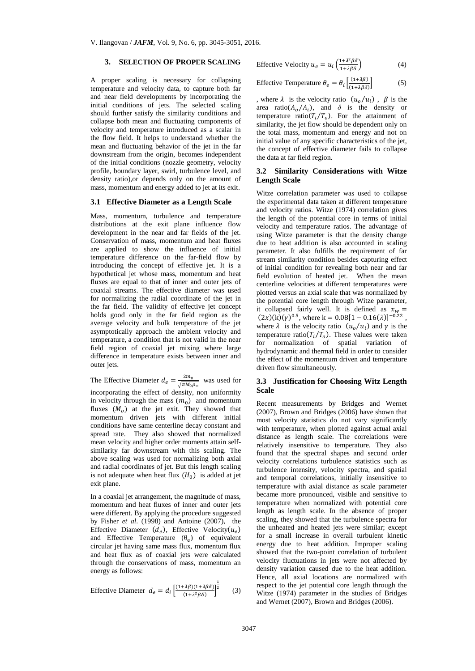# **3. SELECTION OF PROPER SCALING**

A proper scaling is necessary for collapsing temperature and velocity data, to capture both far and near field developments by incorporating the initial conditions of jets. The selected scaling should further satisfy the similarity conditions and collapse both mean and fluctuating components of velocity and temperature introduced as a scalar in the flow field. It helps to understand whether the mean and fluctuating behavior of the jet in the far downstream from the origin, becomes independent of the initial conditions (nozzle geometry, velocity profile, boundary layer, swirl, turbulence level, and density ratio),or depends only on the amount of mass, momentum and energy added to jet at its exit.

#### **3.1 Effective Diameter as a Length Scale**

Mass, momentum, turbulence and temperature distributions at the exit plane influence flow development in the near and far fields of the jet. Conservation of mass, momentum and heat fluxes are applied to show the influence of initial temperature difference on the far-field flow by introducing the concept of effective jet. It is a hypothetical jet whose mass, momentum and heat fluxes are equal to that of inner and outer jets of coaxial streams. The effective diameter was used for normalizing the radial coordinate of the jet in the far field. The validity of effective jet concept holds good only in the far field region as the average velocity and bulk temperature of the jet asymptotically approach the ambient velocity and temperature, a condition that is not valid in the near field region of coaxial jet mixing where large difference in temperature exists between inner and outer jets.

The Effective Diameter  $d_e = \frac{2m_0}{\sqrt{\pi M}}$  $\frac{2m_0}{\sqrt{\pi M_0 \rho_\infty}}$  was used for incorporating the effect of density, non uniformity in velocity through the mass  $(m_0)$  and momentum fluxes  $(M_o)$  at the jet exit. They showed that momentum driven jets with different initial conditions have same centerline decay constant and spread rate. They also showed that normalized mean velocity and higher order moments attain selfsimilarity far downstream with this scaling. The above scaling was used for normalizing both axial and radial coordinates of jet. But this length scaling is not adequate when heat flux  $(H_0)$  is added at jet exit plane.

In a coaxial jet arrangement, the magnitude of mass, momentum and heat fluxes of inner and outer jets were different. By applying the procedure suggested by Fisher *et al*. (1998) and Antoine (2007), the Effective Diameter  $(d_e)$ , Effective Velocity $(u_e)$ and Effective Temperature  $(\theta_e)$  of equivalent circular jet having same mass flux, momentum flux and heat flux as of coaxial jets were calculated through the conservations of mass, momentum an energy as follows:

Effective Diameter 
$$
d_e = d_i \left[ \frac{(1 + \lambda \beta)(1 + \lambda \beta \delta)}{(1 + \lambda^2 \beta \delta)} \right]^{\frac{1}{2}}
$$
 (3)

$$
\text{Effective Velocity } u_e = u_i \left( \frac{1 + \lambda^2 \beta \delta}{1 + \lambda \beta \delta} \right) \tag{4}
$$

$$
\text{Effective Temperature } \theta_e = \theta_i \left[ \frac{(1 + \lambda \beta)}{(1 + \lambda \beta \delta)} \right] \tag{5}
$$

, where  $\lambda$  is the velocity ratio  $(u_o/u_i)$ ,  $\beta$  is the area ratio( $A_0/A_i$ ), and  $\delta$  is the density or temperature ratio( $T_i/T_o$ ). For the attainment of similarity, the jet flow should be dependent only on the total mass, momentum and energy and not on initial value of any specific characteristics of the jet, the concept of effective diameter fails to collapse the data at far field region.

## **3.2 Similarity Considerations with Witze Length Scale**

Witze correlation parameter was used to collapse the experimental data taken at different temperature and velocity ratios. Witze (1974) correlation gives the length of the potential core in terms of initial velocity and temperature ratios. The advantage of using Witze parameter is that the density change due to heat addition is also accounted in scaling parameter. It also fulfills the requirement of far stream similarity condition besides capturing effect of initial condition for revealing both near and far field evolution of heated jet. When the mean centerline velocities at different temperatures were plotted versus an axial scale that was normalized by the potential core length through Witze parameter, it collapsed fairly well. It is defined as  $x_w =$  $(2x)(k)(\gamma)^{0.5}$ , where k = 0.08[1 – 0.16( $\lambda$ )]<sup>-0.22</sup>, where  $\lambda$  is the velocity ratio  $(u_o/u_i)$  and  $\gamma$  is the temperature ratio( $T_i/T_o$ ). These values were taken for normalization of spatial variation of hydrodynamic and thermal field in order to consider the effect of the momentum driven and temperature driven flow simultaneously.

# **3.3 Justification for Choosing Witz Length Scale**

Recent measurements by Bridges and Wernet (2007), Brown and Bridges (2006) have shown that most velocity statistics do not vary significantly with temperature, when plotted against actual axial distance as length scale. The correlations were relatively insensitive to temperature. They also found that the spectral shapes and second order velocity correlations turbulence statistics such as turbulence intensity, velocity spectra, and spatial and temporal correlations, initially insensitive to temperature with axial distance as scale parameter became more pronounced, visible and sensitive to temperature when normalized with potential core length as length scale. In the absence of proper scaling, they showed that the turbulence spectra for the unheated and heated jets were similar; except for a small increase in overall turbulent kinetic energy due to heat addition. Improper scaling showed that the two-point correlation of turbulent velocity fluctuations in jets were not affected by density variation caused due to the heat addition. Hence, all axial locations are normalized with respect to the jet potential core length through the Witze (1974) parameter in the studies of Bridges and Wernet (2007), Brown and Bridges (2006).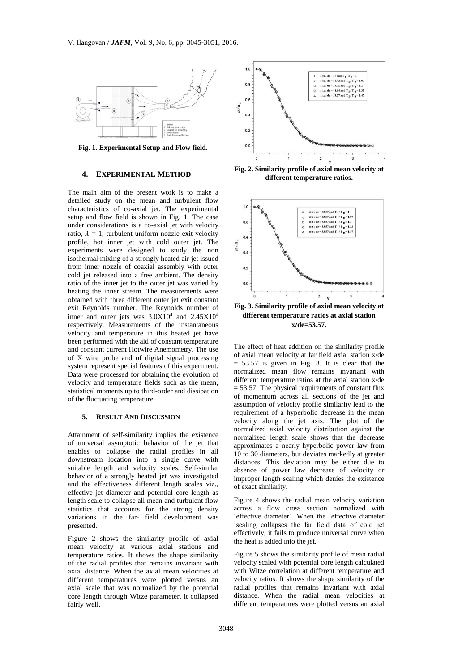

**Fig. 1. Experimental Setup and Flow field.**

# **4. EXPERIMENTAL METHOD**

The main aim of the present work is to make a detailed study on the mean and turbulent flow characteristics of co-axial jet. The experimental setup and flow field is shown in Fig. 1. The case under considerations is a co-axial jet with velocity ratio,  $\lambda = 1$ , turbulent uniform nozzle exit velocity profile, hot inner jet with cold outer jet. The experiments were designed to study the non isothermal mixing of a strongly heated air jet issued from inner nozzle of coaxial assembly with outer cold jet released into a free ambient. The density ratio of the inner jet to the outer jet was varied by heating the inner stream. The measurements were obtained with three different outer jet exit constant exit Reynolds number. The Reynolds number of inner and outer jets was  $3.0X10^4$  and  $2.45X10^4$ respectively. Measurements of the instantaneous velocity and temperature in this heated jet have been performed with the aid of constant temperature and constant current Hotwire Anemometry. The use of X wire probe and of digital signal processing system represent special features of this experiment. Data were processed for obtaining the evolution of velocity and temperature fields such as the mean, statistical moments up to third-order and dissipation of the fluctuating temperature.

#### **5. RESULT AND DISCUSSION**

Attainment of self-similarity implies the existence of universal asymptotic behavior of the jet that enables to collapse the radial profiles in all downstream location into a single curve with suitable length and velocity scales. Self-similar behavior of a strongly heated jet was investigated and the effectiveness different length scales viz., effective jet diameter and potential core length as length scale to collapse all mean and turbulent flow statistics that accounts for the strong density variations in the far- field development was presented.

Figure 2 shows the similarity profile of axial mean velocity at various axial stations and temperature ratios. It shows the shape similarity of the radial profiles that remains invariant with axial distance. When the axial mean velocities at different temperatures were plotted versus an axial scale that was normalized by the potential core length through Witze parameter, it collapsed fairly well.



**Fig. 2. Similarity profile of axial mean velocity at different temperature ratios.**



**different temperature ratios at axial station x/de=53.57.**

The effect of heat addition on the similarity profile of axial mean velocity at far field axial station x/de  $= 53.57$  is given in Fig. 3. It is clear that the normalized mean flow remains invariant with different temperature ratios at the axial station x/de  $= 53.57$ . The physical requirements of constant flux of momentum across all sections of the jet and assumption of velocity profile similarity lead to the requirement of a hyperbolic decrease in the mean velocity along the jet axis. The plot of the normalized axial velocity distribution against the normalized length scale shows that the decrease approximates a nearly hyperbolic power law from 10 to 30 diameters, but deviates markedly at greater distances. This deviation may be either due to absence of power law decrease of velocity or improper length scaling which denies the existence of exact similarity.

Figure 4 shows the radial mean velocity variation across a flow cross section normalized with 'effective diameter'. When the 'effective diameter 'scaling collapses the far field data of cold jet effectively, it fails to produce universal curve when the heat is added into the jet.

Figure 5 shows the similarity profile of mean radial velocity scaled with potential core length calculated with Witze correlation at different temperature and velocity ratios. It shows the shape similarity of the radial profiles that remains invariant with axial distance. When the radial mean velocities at different temperatures were plotted versus an axial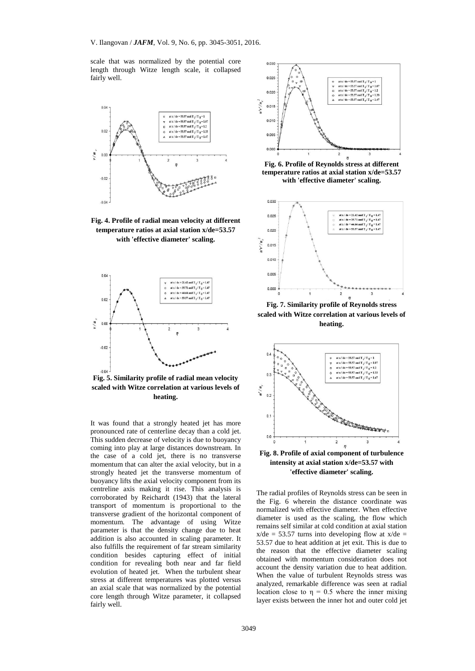scale that was normalized by the potential core length through Witze length scale, it collapsed fairly well.



**Fig. 4. Profile of radial mean velocity at different temperature ratios at axial station x/de=53.57 with 'effective diameter' scaling.**



**Fig. 5. Similarity profile of radial mean velocity scaled with Witze correlation at various levels of heating.**

It was found that a strongly heated jet has more pronounced rate of centerline decay than a cold jet. This sudden decrease of velocity is due to buoyancy coming into play at large distances downstream. In the case of a cold jet, there is no transverse momentum that can alter the axial velocity, but in a strongly heated jet the transverse momentum of buoyancy lifts the axial velocity component from its centreline axis making it rise. This analysis is corroborated by Reichardt (1943) that the lateral transport of momentum is proportional to the transverse gradient of the horizontal component of momentum. The advantage of using Witze parameter is that the density change due to heat addition is also accounted in scaling parameter. It also fulfills the requirement of far stream similarity condition besides capturing effect of initial condition for revealing both near and far field evolution of heated jet. When the turbulent shear stress at different temperatures was plotted versus an axial scale that was normalized by the potential core length through Witze parameter, it collapsed fairly well.



**Fig. 6. Profile of Reynolds stress at different temperature ratios at axial station x/de=53.57 with 'effective diameter' scaling.**



**Fig. 7. Similarity profile of Reynolds stress scaled with Witze correlation at various levels of heating.**



**Fig. 8. Profile of axial component of turbulence intensity at axial station x/de=53.57 with 'effective diameter' scaling.**

The radial profiles of Reynolds stress can be seen in the Fig. 6 wherein the distance coordinate was normalized with effective diameter. When effective diameter is used as the scaling, the flow which remains self similar at cold condition at axial station  $x$ /de = 53.57 turns into developing flow at  $x$ /de = 53.57 due to heat addition at jet exit. This is due to the reason that the effective diameter scaling obtained with momentum consideration does not account the density variation due to heat addition. When the value of turbulent Reynolds stress was analyzed, remarkable difference was seen at radial location close to  $\eta = 0.5$  where the inner mixing layer exists between the inner hot and outer cold jet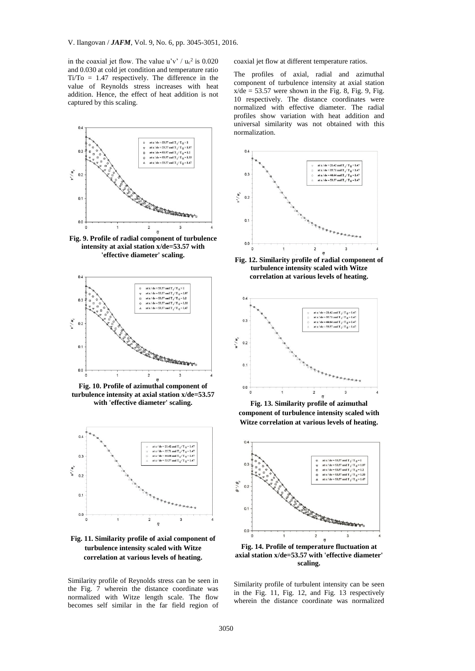in the coaxial jet flow. The value  $u'v' / u_c^2$  is 0.020 and 0.030 at cold jet condition and temperature ratio Ti/To = 1.47 respectively. The difference in the value of Reynolds stress increases with heat addition. Hence, the effect of heat addition is not captured by this scaling.



**Fig. 9. Profile of radial component of turbulence intensity at axial station x/de=53.57 with 'effective diameter' scaling.**



**Fig. 10. Profile of azimuthal component of turbulence intensity at axial station x/de=53.57 with 'effective diameter' scaling.**



**Fig. 11. Similarity profile of axial component of turbulence intensity scaled with Witze correlation at various levels of heating.**

Similarity profile of Reynolds stress can be seen in the Fig. 7 wherein the distance coordinate was normalized with Witze length scale. The flow becomes self similar in the far field region of coaxial jet flow at different temperature ratios.

The profiles of axial, radial and azimuthal component of turbulence intensity at axial station  $x/de = 53.57$  were shown in the Fig. 8, Fig. 9, Fig. 10 respectively. The distance coordinates were normalized with effective diameter. The radial profiles show variation with heat addition and universal similarity was not obtained with this normalization.



**Fig. 12. Similarity profile of radial component of turbulence intensity scaled with Witze correlation at various levels of heating.**



**Fig. 13. Similarity profile of azimuthal component of turbulence intensity scaled with Witze correlation at various levels of heating.**



**Fig. 14. Profile of temperature fluctuation at axial station x/de=53.57 with 'effective diameter' scaling.**

Similarity profile of turbulent intensity can be seen in the Fig. 11, Fig. 12, and Fig. 13 respectively wherein the distance coordinate was normalized